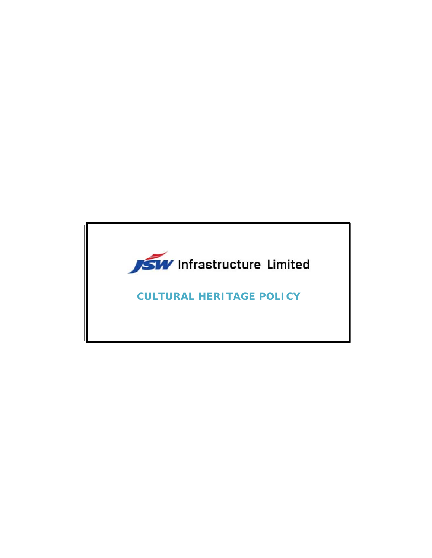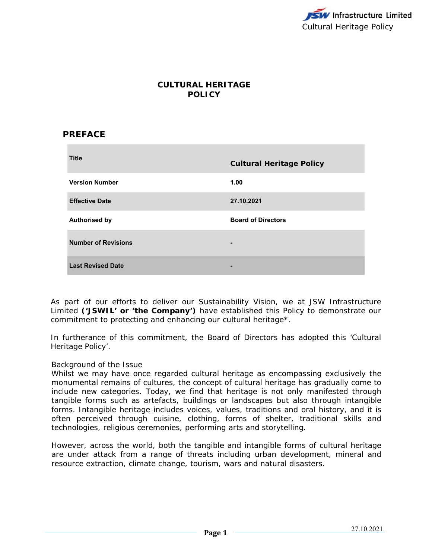

# **CULTURAL HERITAGE POLICY**

## **PREFACE**

| <b>Title</b>               | <b>Cultural Heritage Policy</b> |
|----------------------------|---------------------------------|
| <b>Version Number</b>      | 1.00                            |
| <b>Effective Date</b>      | 27.10.2021                      |
| <b>Authorised by</b>       | <b>Board of Directors</b>       |
| <b>Number of Revisions</b> | $\blacksquare$                  |
| <b>Last Revised Date</b>   |                                 |

As part of our efforts to deliver our Sustainability Vision, we at JSW Infrastructure Limited **('JSWIL' or 'the Company')** have established this Policy to demonstrate our commitment to protecting and enhancing our cultural heritage\*.

In furtherance of this commitment, the Board of Directors has adopted this 'Cultural Heritage Policy'.

#### Background of the Issue

Whilst we may have once regarded cultural heritage as encompassing exclusively the monumental remains of cultures, the concept of cultural heritage has gradually come to include new categories. Today, we find that heritage is not only manifested through tangible forms such as artefacts, buildings or landscapes but also through intangible forms. Intangible heritage includes voices, values, traditions and oral history, and it is often perceived through cuisine, clothing, forms of shelter, traditional skills and technologies, religious ceremonies, performing arts and storytelling.

However, across the world, both the tangible and intangible forms of cultural heritage are under attack from a range of threats including urban development, mineral and resource extraction, climate change, tourism, wars and natural disasters.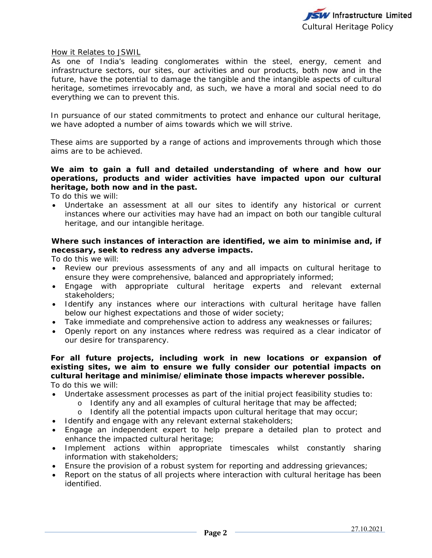

#### How it Relates to JSWIL

As one of India's leading conglomerates within the steel, energy, cement and infrastructure sectors, our sites, our activities and our products, both now and in the future, have the potential to damage the tangible and the intangible aspects of cultural heritage, sometimes irrevocably and, as such, we have a moral and social need to do everything we can to prevent this.

In pursuance of our stated commitments to protect and enhance our cultural heritage, we have adopted a number of aims towards which we will strive.

These aims are supported by a range of actions and improvements through which those aims are to be achieved.

### **We aim to gain a full and detailed understanding of where and how our operations, products and wider activities have impacted upon our cultural heritage, both now and in the past.**

To do this we will:

 Undertake an assessment at all our sites to identify any historical or current instances where our activities may have had an impact on both our tangible cultural heritage, and our intangible heritage.

### **Where such instances of interaction are identified, we aim to minimise and, if necessary, seek to redress any adverse impacts.**

To do this we will:

- Review our previous assessments of any and all impacts on cultural heritage to ensure they were comprehensive, balanced and appropriately informed;
- Engage with appropriate cultural heritage experts and relevant external stakeholders;
- Identify any instances where our interactions with cultural heritage have fallen below our highest expectations and those of wider society;
- Take immediate and comprehensive action to address any weaknesses or failures;
- Openly report on any instances where redress was required as a clear indicator of our desire for transparency.

**For all future projects, including work in new locations or expansion of existing sites, we aim to ensure we fully consider our potential impacts on cultural heritage and minimise/eliminate those impacts wherever possible.**  To do this we will:

- Undertake assessment processes as part of the initial project feasibility studies to:
	- o Identify any and all examples of cultural heritage that may be affected;
	- o Identify all the potential impacts upon cultural heritage that may occur;
- Identify and engage with any relevant external stakeholders;
- Engage an independent expert to help prepare a detailed plan to protect and enhance the impacted cultural heritage;
- Implement actions within appropriate timescales whilst constantly sharing information with stakeholders;
- Ensure the provision of a robust system for reporting and addressing grievances;
- Report on the status of all projects where interaction with cultural heritage has been identified.